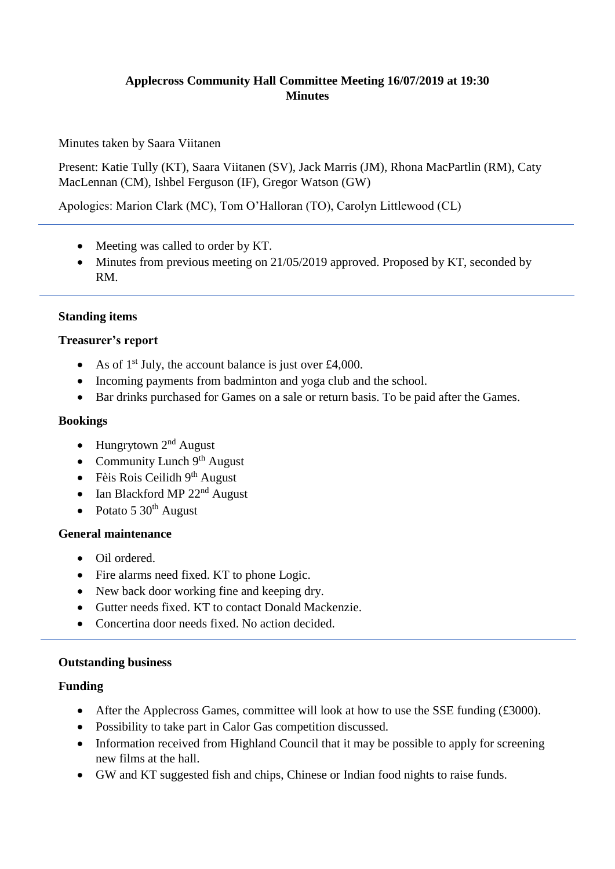# **Applecross Community Hall Committee Meeting 16/07/2019 at 19:30 Minutes**

Minutes taken by Saara Viitanen

Present: Katie Tully (KT), Saara Viitanen (SV), Jack Marris (JM), Rhona MacPartlin (RM), Caty MacLennan (CM), Ishbel Ferguson (IF), Gregor Watson (GW)

Apologies: Marion Clark (MC), Tom O'Halloran (TO), Carolyn Littlewood (CL)

- Meeting was called to order by KT.
- Minutes from previous meeting on 21/05/2019 approved. Proposed by KT, seconded by RM.

### **Standing items**

#### **Treasurer's report**

- As of  $1<sup>st</sup>$  July, the account balance is just over £4,000.
- Incoming payments from badminton and yoga club and the school.
- Bar drinks purchased for Games on a sale or return basis. To be paid after the Games.

#### **Bookings**

- Hungrytown  $2<sup>nd</sup>$  August
- Community Lunch  $9<sup>th</sup>$  August
- $\bullet$  Fèis Rois Ceilidh 9<sup>th</sup> August
- Ian Blackford MP 22<sup>nd</sup> August
- Potato  $5 \times 30^{th}$  August

### **General maintenance**

- Oil ordered.
- Fire alarms need fixed. KT to phone Logic.
- New back door working fine and keeping dry.
- Gutter needs fixed. KT to contact Donald Mackenzie.
- Concertina door needs fixed. No action decided.

### **Outstanding business**

### **Funding**

- After the Applecross Games, committee will look at how to use the SSE funding (£3000).
- Possibility to take part in Calor Gas competition discussed.
- Information received from Highland Council that it may be possible to apply for screening new films at the hall.
- GW and KT suggested fish and chips, Chinese or Indian food nights to raise funds.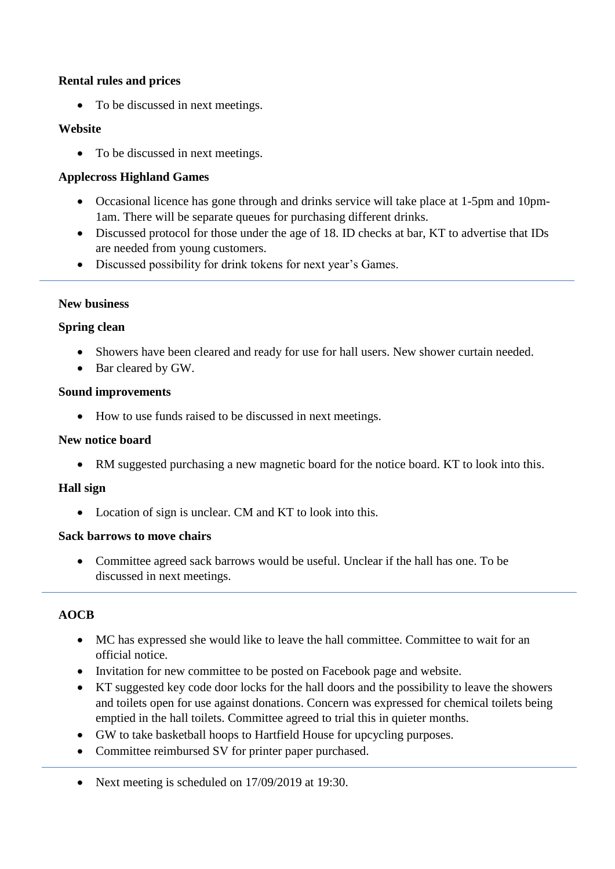### **Rental rules and prices**

• To be discussed in next meetings.

# **Website**

• To be discussed in next meetings.

# **Applecross Highland Games**

- Occasional licence has gone through and drinks service will take place at 1-5pm and 10pm-1am. There will be separate queues for purchasing different drinks.
- Discussed protocol for those under the age of 18. ID checks at bar, KT to advertise that IDs are needed from young customers.
- Discussed possibility for drink tokens for next year's Games.

### **New business**

### **Spring clean**

- Showers have been cleared and ready for use for hall users. New shower curtain needed.
- Bar cleared by GW.

### **Sound improvements**

• How to use funds raised to be discussed in next meetings.

### **New notice board**

• RM suggested purchasing a new magnetic board for the notice board. KT to look into this.

### **Hall sign**

• Location of sign is unclear. CM and KT to look into this.

### **Sack barrows to move chairs**

• Committee agreed sack barrows would be useful. Unclear if the hall has one. To be discussed in next meetings.

### **AOCB**

- MC has expressed she would like to leave the hall committee. Committee to wait for an official notice.
- Invitation for new committee to be posted on Facebook page and website.
- KT suggested key code door locks for the hall doors and the possibility to leave the showers and toilets open for use against donations. Concern was expressed for chemical toilets being emptied in the hall toilets. Committee agreed to trial this in quieter months.
- GW to take basketball hoops to Hartfield House for upcycling purposes.
- Committee reimbursed SV for printer paper purchased.
- Next meeting is scheduled on 17/09/2019 at 19:30.